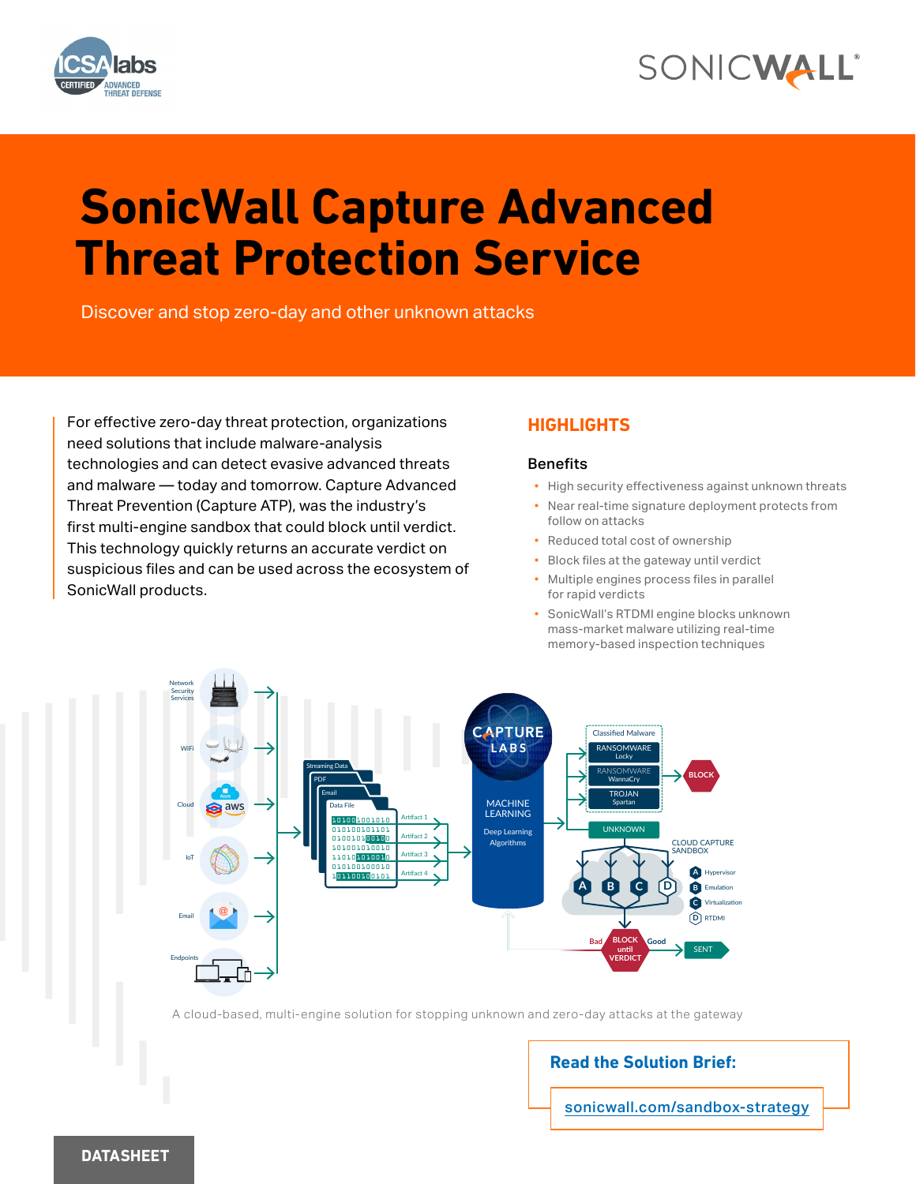

## SONICWALL®

# **SonicWall Capture Advanced Threat Protection Service**

Discover and stop zero-day and other unknown attacks

For effective zero-day threat protection, organizations need solutions that include malware-analysis technologies and can detect evasive advanced threats and malware — today and tomorrow. Capture Advanced Threat Prevention (Capture ATP), was the industry's first multi-engine sandbox that could block until verdict. This technology quickly returns an accurate verdict on suspicious files and can be used across the ecosystem of SonicWall products.

#### **HIGHLIGHTS**

#### Benefits

- High security effectiveness against unknown threats
- Near real-time signature deployment protects from follow on attacks
- Reduced total cost of ownership
- Block files at the gateway until verdict
- Multiple engines process files in parallel for rapid verdicts
- SonicWall's RTDMI engine blocks unknown mass-market malware utilizing real-time memory-based inspection techniques



A cloud-based, multi-engine solution for stopping unknown and zero-day attacks at the gateway

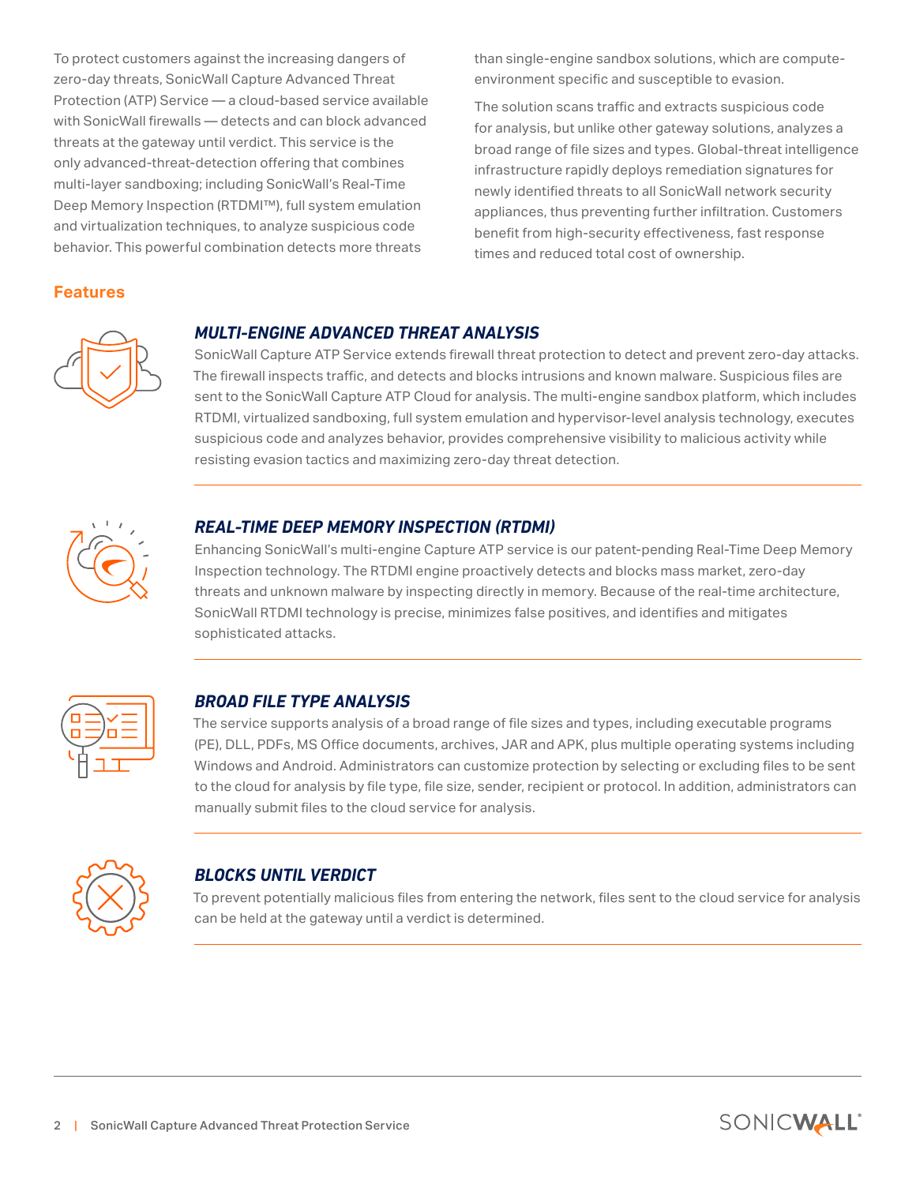To protect customers against the increasing dangers of zero-day threats, SonicWall Capture Advanced Threat Protection (ATP) Service — a cloud-based service available with SonicWall firewalls — detects and can block advanced threats at the gateway until verdict. This service is the only advanced-threat-detection offering that combines multi-layer sandboxing; including SonicWall's Real-Time Deep Memory Inspection (RTDMI™), full system emulation and virtualization techniques, to analyze suspicious code behavior. This powerful combination detects more threats

**Features**

than single-engine sandbox solutions, which are computeenvironment specific and susceptible to evasion.

The solution scans traffic and extracts suspicious code for analysis, but unlike other gateway solutions, analyzes a broad range of file sizes and types. Global-threat intelligence infrastructure rapidly deploys remediation signatures for newly identified threats to all SonicWall network security appliances, thus preventing further infiltration. Customers benefit from high-security effectiveness, fast response times and reduced total cost of ownership.

#### *MULTI-ENGINE ADVANCED THREAT ANALYSIS*

SonicWall Capture ATP Service extends firewall threat protection to detect and prevent zero-day attacks. The firewall inspects traffic, and detects and blocks intrusions and known malware. Suspicious files are sent to the SonicWall Capture ATP Cloud for analysis. The multi-engine sandbox platform, which includes RTDMI, virtualized sandboxing, full system emulation and hypervisor-level analysis technology, executes suspicious code and analyzes behavior, provides comprehensive visibility to malicious activity while resisting evasion tactics and maximizing zero-day threat detection.



l

l

1

l,

#### *REAL-TIME DEEP MEMORY INSPECTION (RTDMI)*

Enhancing SonicWall's multi-engine Capture ATP service is our patent-pending Real-Time Deep Memory Inspection technology. The RTDMI engine proactively detects and blocks mass market, zero-day threats and unknown malware by inspecting directly in memory. Because of the real-time architecture, SonicWall RTDMI technology is precise, minimizes false positives, and identifies and mitigates sophisticated attacks.



#### *BROAD FILE TYPE ANALYSIS*

The service supports analysis of a broad range of file sizes and types, including executable programs (PE), DLL, PDFs, MS Office documents, archives, JAR and APK, plus multiple operating systems including Windows and Android. Administrators can customize protection by selecting or excluding files to be sent to the cloud for analysis by file type, file size, sender, recipient or protocol. In addition, administrators can manually submit files to the cloud service for analysis.



#### *BLOCKS UNTIL VERDICT*

To prevent potentially malicious files from entering the network, files sent to the cloud service for analysis can be held at the gateway until a verdict is determined.

SONICWALL'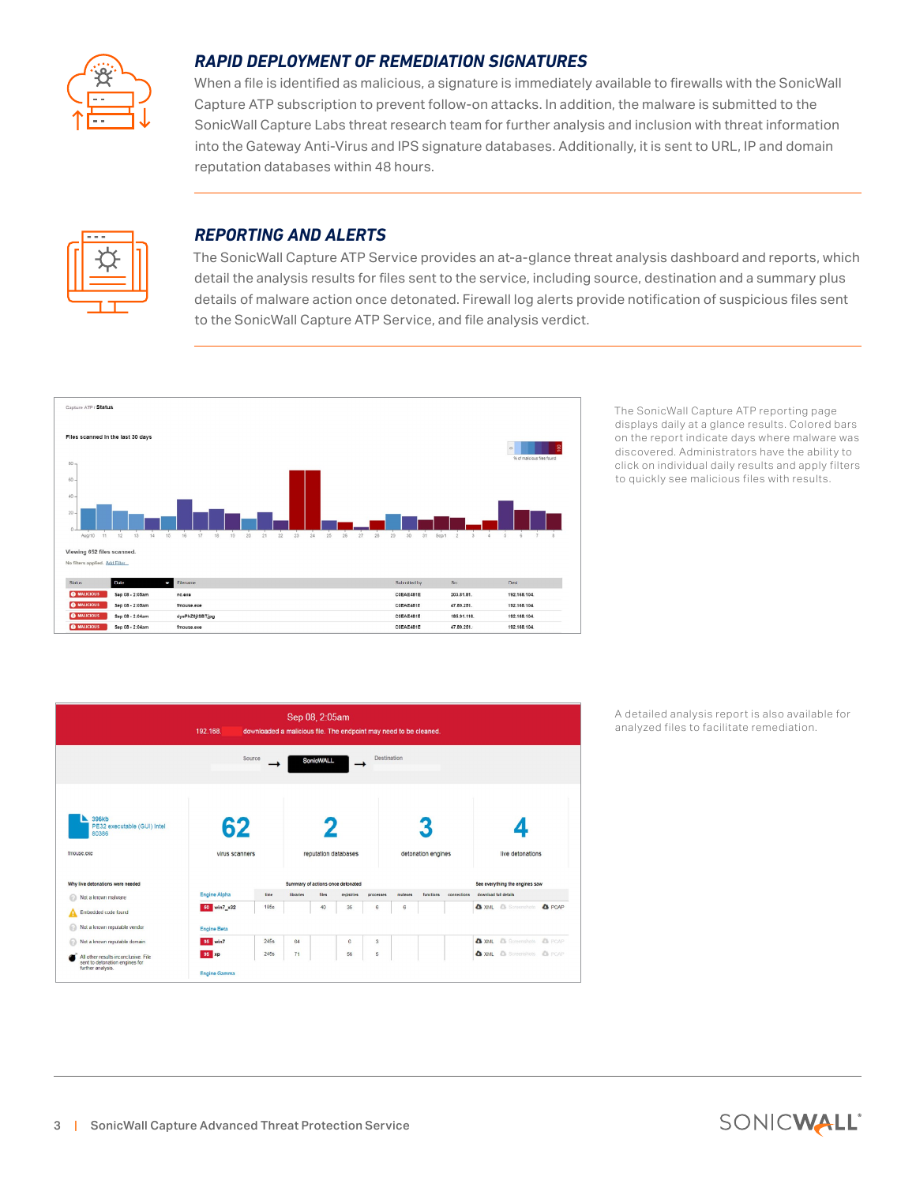

#### *RAPID DEPLOYMENT OF REMEDIATION SIGNATURES*

When a file is identified as malicious, a signature is immediately available to firewalls with the SonicWall Capture ATP subscription to prevent follow-on attacks. In addition, the malware is submitted to the SonicWall Capture Labs threat research team for further analysis and inclusion with threat information into the Gateway Anti-Virus and IPS signature databases. Additionally, it is sent to URL, IP and domain reputation databases within 48 hours.



 $\overline{a}$ 

 $\overline{a}$ 

#### *REPORTING AND ALERTS*

The SonicWall Capture ATP Service provides an at-a-glance threat analysis dashboard and reports, which detail the analysis results for files sent to the service, including source, destination and a summary plus details of malware action once detonated. Firewall log alerts provide notification of suspicious files sent to the SonicWall Capture ATP Service, and file analysis verdict.



The SonicWall Capture ATP reporting page displays daily at a glance results. Colored bars on the report indicate days where malware was discovered. Administrators have the ability to click on individual daily results and apply filters to quickly see malicious files with results.



A detailed analysis report is also available for analyzed files to facilitate remediation.